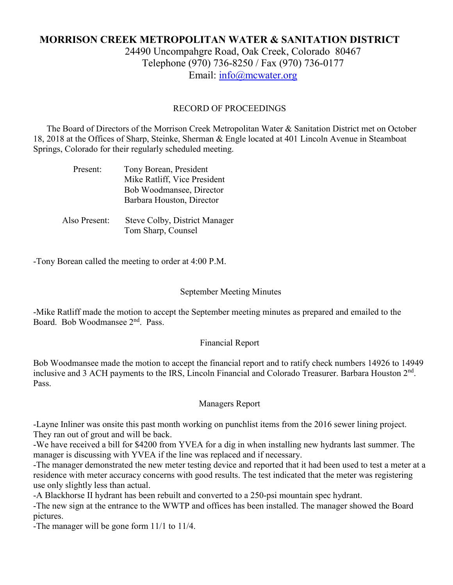# **MORRISON CREEK METROPOLITAN WATER & SANITATION DISTRICT** 24490 Uncompahgre Road, Oak Creek, Colorado 80467 Telephone (970) 736-8250 / Fax (970) 736-0177 Email: [info@mcwater.org](mailto:info@mcwater.org)

# RECORD OF PROCEEDINGS

 The Board of Directors of the Morrison Creek Metropolitan Water & Sanitation District met on October 18, 2018 at the Offices of Sharp, Steinke, Sherman & Engle located at 401 Lincoln Avenue in Steamboat Springs, Colorado for their regularly scheduled meeting.

| Present:      | Tony Borean, President<br>Mike Ratliff, Vice President<br>Bob Woodmansee, Director |
|---------------|------------------------------------------------------------------------------------|
|               | Barbara Houston, Director                                                          |
| Also Present: | Steve Colby, District Manager<br>Tom Sharp, Counsel                                |

-Tony Borean called the meeting to order at 4:00 P.M.

## September Meeting Minutes

-Mike Ratliff made the motion to accept the September meeting minutes as prepared and emailed to the Board. Bob Woodmansee 2nd. Pass.

#### Financial Report

Bob Woodmansee made the motion to accept the financial report and to ratify check numbers 14926 to 14949 inclusive and 3 ACH payments to the IRS, Lincoln Financial and Colorado Treasurer. Barbara Houston  $2<sup>nd</sup>$ . Pass.

#### Managers Report

-Layne Inliner was onsite this past month working on punchlist items from the 2016 sewer lining project. They ran out of grout and will be back.

-We have received a bill for \$4200 from YVEA for a dig in when installing new hydrants last summer. The manager is discussing with YVEA if the line was replaced and if necessary.

-The manager demonstrated the new meter testing device and reported that it had been used to test a meter at a residence with meter accuracy concerns with good results. The test indicated that the meter was registering use only slightly less than actual.

-A Blackhorse II hydrant has been rebuilt and converted to a 250-psi mountain spec hydrant.

-The new sign at the entrance to the WWTP and offices has been installed. The manager showed the Board pictures.

-The manager will be gone form 11/1 to 11/4.